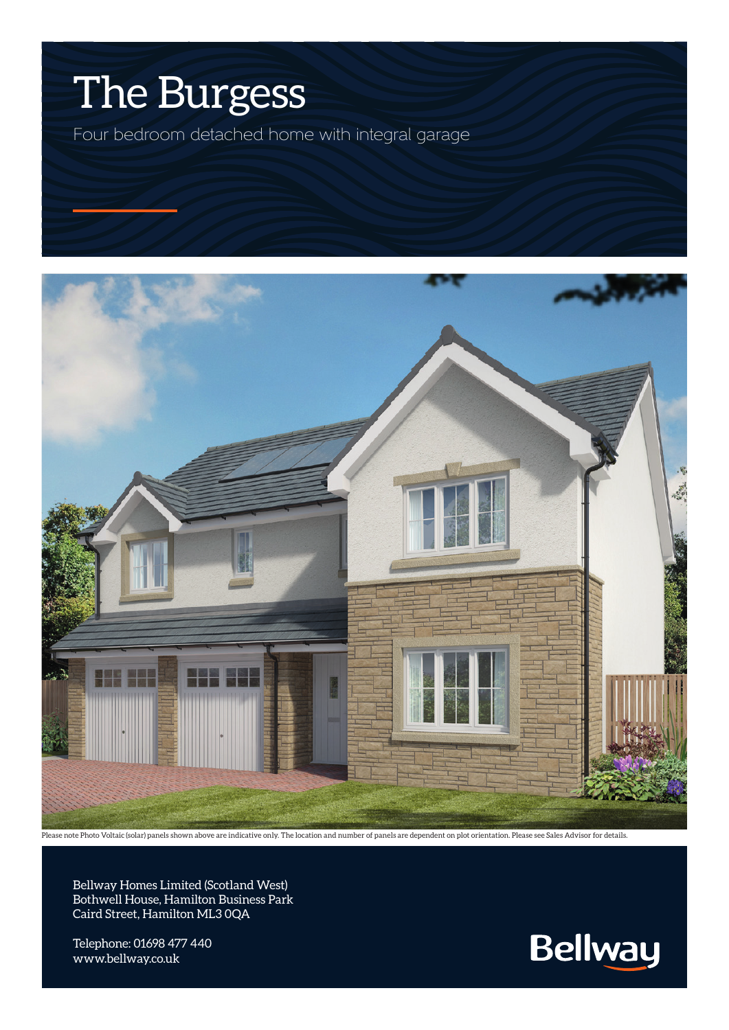

Four bedroom detached home with integral garage



Please note Photo Voltaic (solar) panels shown above are indicative only. The location and number of panels are dependent on plot orientation. Please see Sales Advisor for details.

Bellway Homes Limited (Scotland West) Bothwell House, Hamilton Business Park Caird Street, Hamilton ML3 0QA

Telephone: 01698 477 440 www.bellway.co.uk

**Bellway**